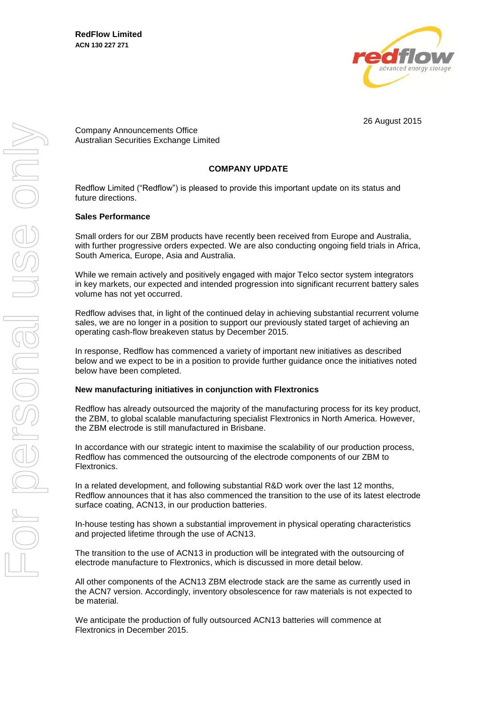

26 August 2015

Company Announcements Office Australian Securities Exchange Limited

# **COMPANY UPDATE**

Redflow Limited ("Redflow") is pleased to provide this important update on its status and future directions.

### **Sales Performance**

Small orders for our ZBM products have recently been received from Europe and Australia, with further progressive orders expected. We are also conducting ongoing field trials in Africa, South America, Europe, Asia and Australia.

While we remain actively and positively engaged with major Telco sector system integrators in key markets, our expected and intended progression into significant recurrent battery sales volume has not yet occurred.

Redflow advises that, in light of the continued delay in achieving substantial recurrent volume sales, we are no longer in a position to support our previously stated target of achieving an operating cash-flow breakeven status by December 2015.

In response, Redflow has commenced a variety of important new initiatives as described below and we expect to be in a position to provide further guidance once the initiatives noted below have been completed.

#### **New manufacturing initiatives in conjunction with Flextronics**

Redflow has already outsourced the majority of the manufacturing process for its key product, the ZBM, to global scalable manufacturing specialist Flextronics in North America. However, the ZBM electrode is still manufactured in Brisbane.

In accordance with our strategic intent to maximise the scalability of our production process, Redflow has commenced the outsourcing of the electrode components of our ZBM to Flextronics.

In a related development, and following substantial R&D work over the last 12 months, Redflow announces that it has also commenced the transition to the use of its latest electrode surface coating, ACN13, in our production batteries.

In-house testing has shown a substantial improvement in physical operating characteristics and projected lifetime through the use of ACN13.

The transition to the use of ACN13 in production will be integrated with the outsourcing of electrode manufacture to Flextronics, which is discussed in more detail below.

All other components of the ACN13 ZBM electrode stack are the same as currently used in the ACN7 version. Accordingly, inventory obsolescence for raw materials is not expected to be material.

We anticipate the production of fully outsourced ACN13 batteries will commence at Flextronics in December 2015.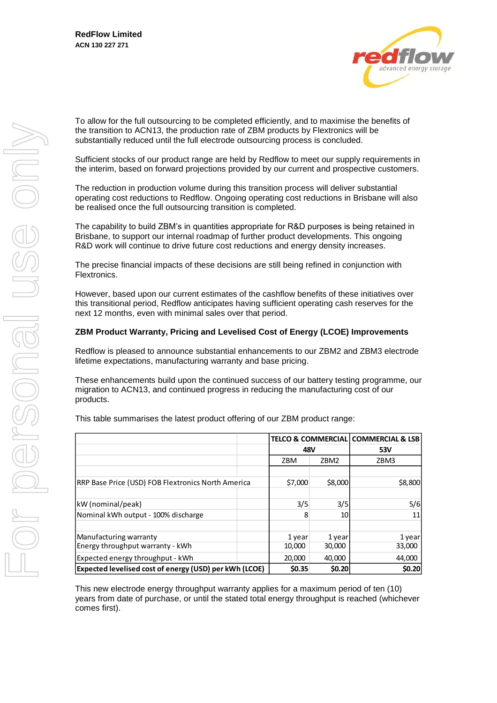

To allow for the full outsourcing to be completed efficiently, and to maximise the benefits of the transition to ACN13, the production rate of ZBM products by Flextronics will be substantially reduced until the full electrode outsourcing process is concluded.

Sufficient stocks of our product range are held by Redflow to meet our supply requirements in the interim, based on forward projections provided by our current and prospective customers.

The reduction in production volume during this transition process will deliver substantial operating cost reductions to Redflow. Ongoing operating cost reductions in Brisbane will also be realised once the full outsourcing transition is completed.

The capability to build ZBM's in quantities appropriate for R&D purposes is being retained in Brisbane, to support our internal roadmap of further product developments. This ongoing R&D work will continue to drive future cost reductions and energy density increases.

The precise financial impacts of these decisions are still being refined in conjunction with Flextronics.

However, based upon our current estimates of the cashflow benefits of these initiatives over this transitional period, Redflow anticipates having sufficient operating cash reserves for the next 12 months, even with minimal sales over that period.

## **ZBM Product Warranty, Pricing and Levelised Cost of Energy (LCOE) Improvements**

Redflow is pleased to announce substantial enhancements to our ZBM2 and ZBM3 electrode lifetime expectations, manufacturing warranty and base pricing.

These enhancements build upon the continued success of our battery testing programme, our migration to ACN13, and continued progress in reducing the manufacturing cost of our products.

This table summarises the latest product offering of our ZBM product range:

|                                                        | <b>TELCO &amp; COMMERCIAL</b><br>48V |         | <b>COMMERCIAL &amp; LSB</b> |
|--------------------------------------------------------|--------------------------------------|---------|-----------------------------|
|                                                        |                                      |         | 53V                         |
|                                                        | ZBM                                  | ZBM2    | ZBM3                        |
|                                                        |                                      |         |                             |
| RRP Base Price (USD) FOB Flextronics North America     | \$7,000                              | \$8,000 | \$8,800                     |
|                                                        |                                      |         |                             |
| kW (nominal/peak)                                      | 3/5                                  | 3/5     | 5/6                         |
| Nominal kWh output - 100% discharge                    | 8                                    | 10      | 11                          |
|                                                        |                                      |         |                             |
| Manufacturing warranty                                 | 1 year                               | 1 year  | 1 year                      |
| Energy throughput warranty - kWh                       | 10,000                               | 30,000  | 33,000                      |
| Expected energy throughput - kWh                       | 20,000                               | 40,000  | 44,000                      |
| Expected levelised cost of energy (USD) per kWh (LCOE) | \$0.35                               | \$0.20  | \$0.20                      |

This new electrode energy throughput warranty applies for a maximum period of ten (10) years from date of purchase, or until the stated total energy throughput is reached (whichever comes first).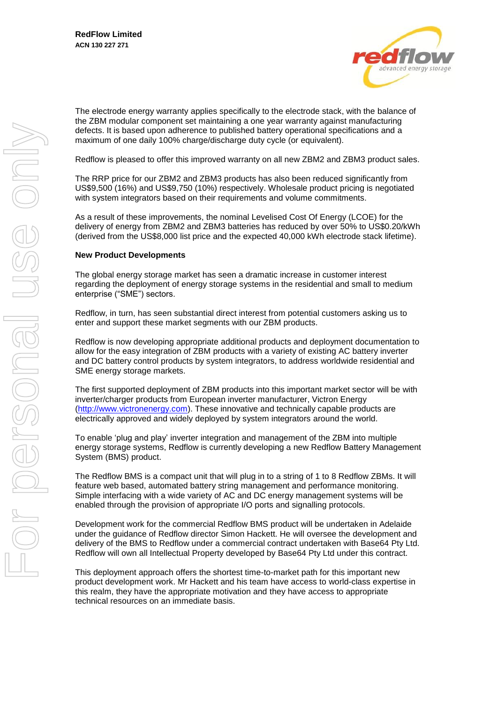

The electrode energy warranty applies specifically to the electrode stack, with the balance of the ZBM modular component set maintaining a one year warranty against manufacturing defects. It is based upon adherence to published battery operational specifications and a maximum of one daily 100% charge/discharge duty cycle (or equivalent).

Redflow is pleased to offer this improved warranty on all new ZBM2 and ZBM3 product sales.

The RRP price for our ZBM2 and ZBM3 products has also been reduced significantly from US\$9,500 (16%) and US\$9,750 (10%) respectively. Wholesale product pricing is negotiated with system integrators based on their requirements and volume commitments.

As a result of these improvements, the nominal Levelised Cost Of Energy (LCOE) for the delivery of energy from ZBM2 and ZBM3 batteries has reduced by over 50% to US\$0.20/kWh (derived from the US\$8,000 list price and the expected 40,000 kWh electrode stack lifetime).

## **New Product Developments**

The global energy storage market has seen a dramatic increase in customer interest regarding the deployment of energy storage systems in the residential and small to medium enterprise ("SME") sectors.

Redflow, in turn, has seen substantial direct interest from potential customers asking us to enter and support these market segments with our ZBM products.

Redflow is now developing appropriate additional products and deployment documentation to allow for the easy integration of ZBM products with a variety of existing AC battery inverter and DC battery control products by system integrators, to address worldwide residential and SME energy storage markets.

The first supported deployment of ZBM products into this important market sector will be with inverter/charger products from European inverter manufacturer, Victron Energy [\(http://www.victronenergy.com\)](http://www.victronenergy.com/). These innovative and technically capable products are electrically approved and widely deployed by system integrators around the world.

To enable 'plug and play' inverter integration and management of the ZBM into multiple energy storage systems, Redflow is currently developing a new Redflow Battery Management System (BMS) product.

The Redflow BMS is a compact unit that will plug in to a string of 1 to 8 Redflow ZBMs. It will feature web based, automated battery string management and performance monitoring. Simple interfacing with a wide variety of AC and DC energy management systems will be enabled through the provision of appropriate I/O ports and signalling protocols.

Development work for the commercial Redflow BMS product will be undertaken in Adelaide under the guidance of Redflow director Simon Hackett. He will oversee the development and delivery of the BMS to Redflow under a commercial contract undertaken with Base64 Pty Ltd. Redflow will own all Intellectual Property developed by Base64 Pty Ltd under this contract.

This deployment approach offers the shortest time-to-market path for this important new product development work. Mr Hackett and his team have access to world-class expertise in this realm, they have the appropriate motivation and they have access to appropriate technical resources on an immediate basis.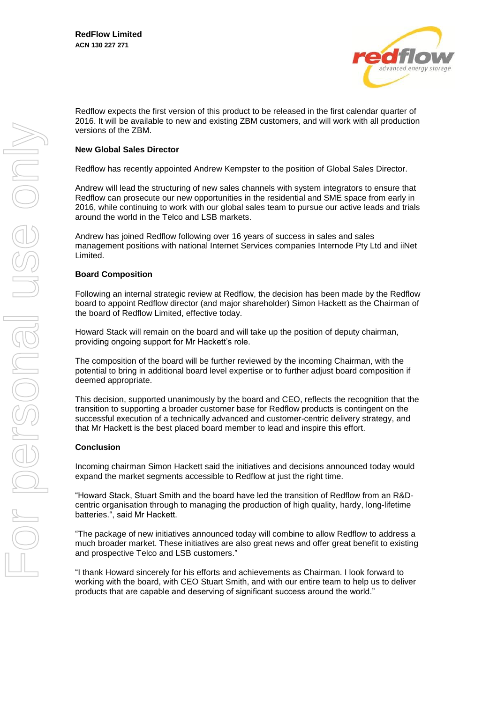

Redflow expects the first version of this product to be released in the first calendar quarter of 2016. It will be available to new and existing ZBM customers, and will work with all production versions of the ZBM.

### **New Global Sales Director**

Redflow has recently appointed Andrew Kempster to the position of Global Sales Director.

Andrew will lead the structuring of new sales channels with system integrators to ensure that Redflow can prosecute our new opportunities in the residential and SME space from early in 2016, while continuing to work with our global sales team to pursue our active leads and trials around the world in the Telco and LSB markets.

Andrew has joined Redflow following over 16 years of success in sales and sales management positions with national Internet Services companies Internode Pty Ltd and iiNet Limited.

### **Board Composition**

Following an internal strategic review at Redflow, the decision has been made by the Redflow board to appoint Redflow director (and major shareholder) Simon Hackett as the Chairman of the board of Redflow Limited, effective today.

Howard Stack will remain on the board and will take up the position of deputy chairman, providing ongoing support for Mr Hackett's role.

The composition of the board will be further reviewed by the incoming Chairman, with the potential to bring in additional board level expertise or to further adjust board composition if deemed appropriate.

This decision, supported unanimously by the board and CEO, reflects the recognition that the transition to supporting a broader customer base for Redflow products is contingent on the successful execution of a technically advanced and customer-centric delivery strategy, and that Mr Hackett is the best placed board member to lead and inspire this effort.

#### **Conclusion**

Incoming chairman Simon Hackett said the initiatives and decisions announced today would expand the market segments accessible to Redflow at just the right time.

"Howard Stack, Stuart Smith and the board have led the transition of Redflow from an R&Dcentric organisation through to managing the production of high quality, hardy, long-lifetime batteries.", said Mr Hackett.

"The package of new initiatives announced today will combine to allow Redflow to address a much broader market. These initiatives are also great news and offer great benefit to existing and prospective Telco and LSB customers."

"I thank Howard sincerely for his efforts and achievements as Chairman. I look forward to working with the board, with CEO Stuart Smith, and with our entire team to help us to deliver products that are capable and deserving of significant success around the world."